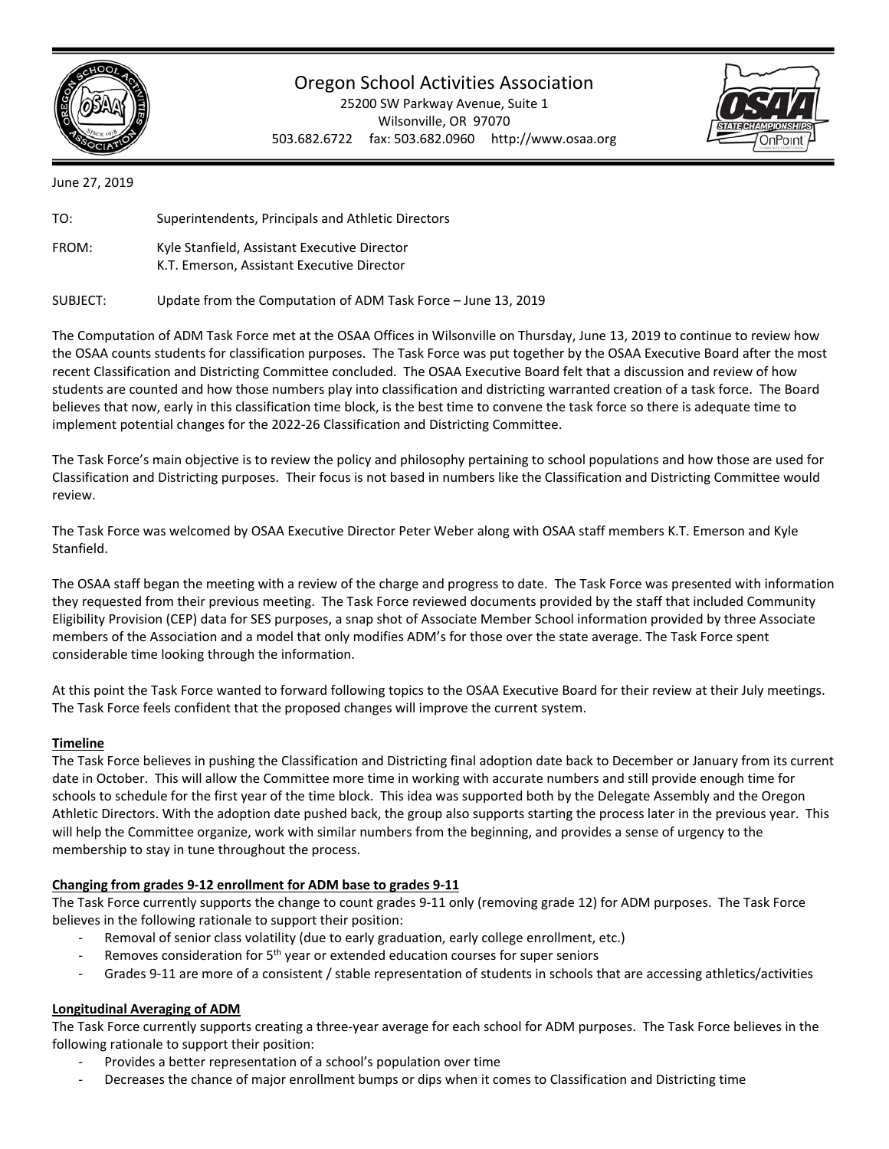

# Oregon School Activities Association

25200 SW Parkway Avenue, Suite 1 Wilsonville, OR 97070 503.682.6722 fax: 503.682.0960 http://www.osaa.org



June 27, 2019

| TO:   | Superintendents, Principals and Athletic Directors                                         |
|-------|--------------------------------------------------------------------------------------------|
| FROM: | Kyle Stanfield, Assistant Executive Director<br>K.T. Emerson, Assistant Executive Director |

SUBJECT: Update from the Computation of ADM Task Force – June 13, 2019

The Computation of ADM Task Force met at the OSAA Offices in Wilsonville on Thursday, June 13, 2019 to continue to review how the OSAA counts students for classification purposes. The Task Force was put together by the OSAA Executive Board after the most recent Classification and Districting Committee concluded. The OSAA Executive Board felt that a discussion and review of how students are counted and how those numbers play into classification and districting warranted creation of a task force. The Board believes that now, early in this classification time block, is the best time to convene the task force so there is adequate time to implement potential changes for the 2022‐26 Classification and Districting Committee.

The Task Force's main objective is to review the policy and philosophy pertaining to school populations and how those are used for Classification and Districting purposes. Their focus is not based in numbers like the Classification and Districting Committee would review.

The Task Force was welcomed by OSAA Executive Director Peter Weber along with OSAA staff members K.T. Emerson and Kyle Stanfield.

The OSAA staff began the meeting with a review of the charge and progress to date. The Task Force was presented with information they requested from their previous meeting. The Task Force reviewed documents provided by the staff that included Community Eligibility Provision (CEP) data for SES purposes, a snap shot of Associate Member School information provided by three Associate members of the Association and a model that only modifies ADM's for those over the state average. The Task Force spent considerable time looking through the information.

At this point the Task Force wanted to forward following topics to the OSAA Executive Board for their review at their July meetings. The Task Force feels confident that the proposed changes will improve the current system.

# **Timeline**

The Task Force believes in pushing the Classification and Districting final adoption date back to December or January from its current date in October. This will allow the Committee more time in working with accurate numbers and still provide enough time for schools to schedule for the first year of the time block. This idea was supported both by the Delegate Assembly and the Oregon Athletic Directors. With the adoption date pushed back, the group also supports starting the process later in the previous year. This will help the Committee organize, work with similar numbers from the beginning, and provides a sense of urgency to the membership to stay in tune throughout the process.

# **Changing from grades 9‐12 enrollment for ADM base to grades 9‐11**

The Task Force currently supports the change to count grades 9‐11 only (removing grade 12) for ADM purposes. The Task Force believes in the following rationale to support their position:

- Removal of senior class volatility (due to early graduation, early college enrollment, etc.)
- Removes consideration for  $5<sup>th</sup>$  year or extended education courses for super seniors
- Grades 9-11 are more of a consistent / stable representation of students in schools that are accessing athletics/activities

# **Longitudinal Averaging of ADM**

The Task Force currently supports creating a three‐year average for each school for ADM purposes. The Task Force believes in the following rationale to support their position:

- ‐ Provides a better representation of a school's population over time
- ‐ Decreases the chance of major enrollment bumps or dips when it comes to Classification and Districting time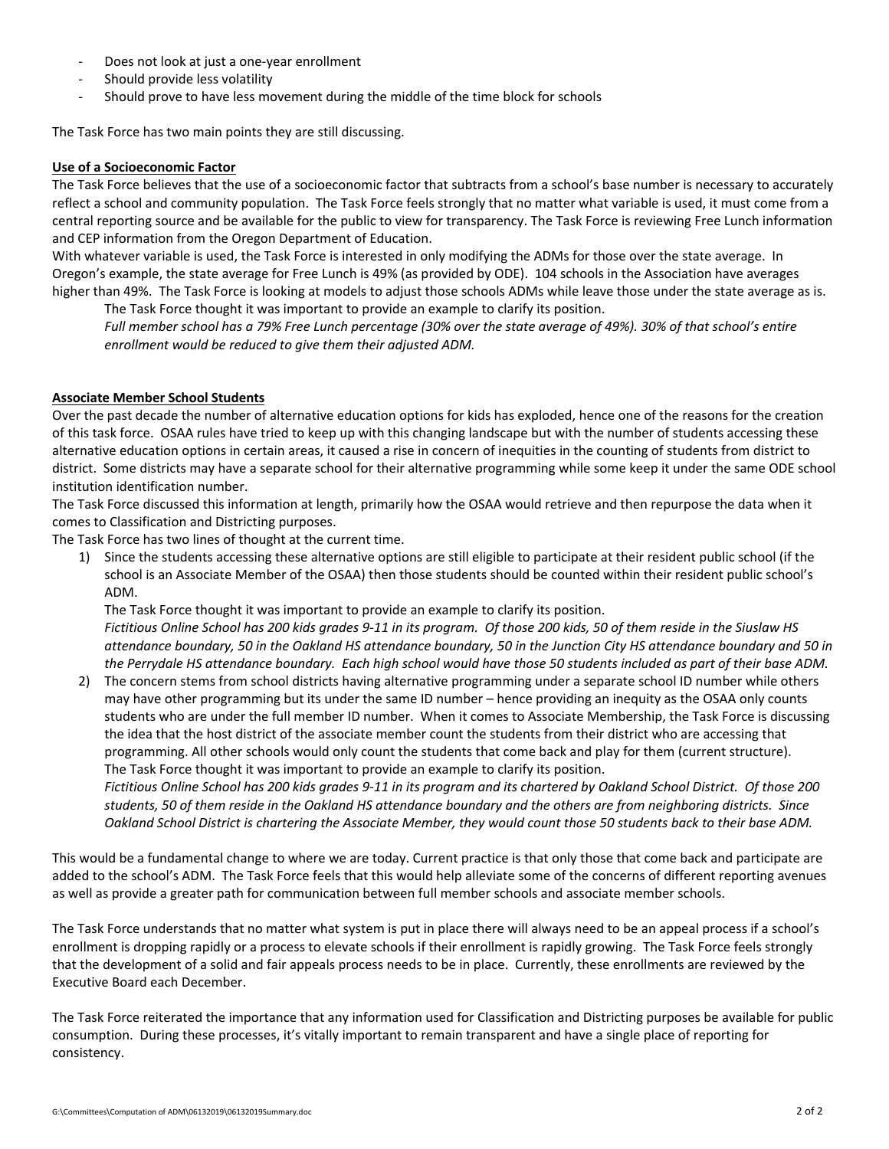- ‐ Does not look at just a one‐year enrollment
- ‐ Should provide less volatility
- Should prove to have less movement during the middle of the time block for schools

The Task Force has two main points they are still discussing.

### **Use of a Socioeconomic Factor**

The Task Force believes that the use of a socioeconomic factor that subtracts from a school's base number is necessary to accurately reflect a school and community population. The Task Force feels strongly that no matter what variable is used, it must come from a central reporting source and be available for the public to view for transparency. The Task Force is reviewing Free Lunch information and CEP information from the Oregon Department of Education.

With whatever variable is used, the Task Force is interested in only modifying the ADMs for those over the state average. In Oregon's example, the state average for Free Lunch is 49% (as provided by ODE). 104 schools in the Association have averages higher than 49%. The Task Force is looking at models to adjust those schools ADMs while leave those under the state average as is. The Task Force thought it was important to provide an example to clarify its position.

*Full member school has a 79% Free Lunch percentage (30% over the state average of 49%). 30% of that school's entire*  enrollment would be reduced to give them their adjusted ADM.

### **Associate Member School Students**

Over the past decade the number of alternative education options for kids has exploded, hence one of the reasons for the creation of this task force. OSAA rules have tried to keep up with this changing landscape but with the number of students accessing these alternative education options in certain areas, it caused a rise in concern of inequities in the counting of students from district to district. Some districts may have a separate school for their alternative programming while some keep it under the same ODE school institution identification number.

The Task Force discussed this information at length, primarily how the OSAA would retrieve and then repurpose the data when it comes to Classification and Districting purposes.

The Task Force has two lines of thought at the current time.

1) Since the students accessing these alternative options are still eligible to participate at their resident public school (if the school is an Associate Member of the OSAA) then those students should be counted within their resident public school's ADM.

The Task Force thought it was important to provide an example to clarify its position. *Fictitious Online School has 200 kids grades 9‐11 in its program. Of those 200 kids, 50 of them reside in the Siuslaw HS attendance boundary, 50 in the Oakland HS attendance boundary, 50 in the Junction City HS attendance boundary and 50 in the Perrydale HS attendance boundary. Each high school would have those 50 students included as part of their base ADM.* 

2) The concern stems from school districts having alternative programming under a separate school ID number while others may have other programming but its under the same ID number – hence providing an inequity as the OSAA only counts students who are under the full member ID number. When it comes to Associate Membership, the Task Force is discussing the idea that the host district of the associate member count the students from their district who are accessing that programming. All other schools would only count the students that come back and play for them (current structure). The Task Force thought it was important to provide an example to clarify its position.

*Fictitious Online School has 200 kids grades 9‐11 in its program and its chartered by Oakland School District. Of those 200 students, 50 of them reside in the Oakland HS attendance boundary and the others are from neighboring districts. Since Oakland School District is chartering the Associate Member, they would count those 50 students back to their base ADM.* 

This would be a fundamental change to where we are today. Current practice is that only those that come back and participate are added to the school's ADM. The Task Force feels that this would help alleviate some of the concerns of different reporting avenues as well as provide a greater path for communication between full member schools and associate member schools.

The Task Force understands that no matter what system is put in place there will always need to be an appeal process if a school's enrollment is dropping rapidly or a process to elevate schools if their enrollment is rapidly growing. The Task Force feels strongly that the development of a solid and fair appeals process needs to be in place. Currently, these enrollments are reviewed by the Executive Board each December.

The Task Force reiterated the importance that any information used for Classification and Districting purposes be available for public consumption. During these processes, it's vitally important to remain transparent and have a single place of reporting for consistency.